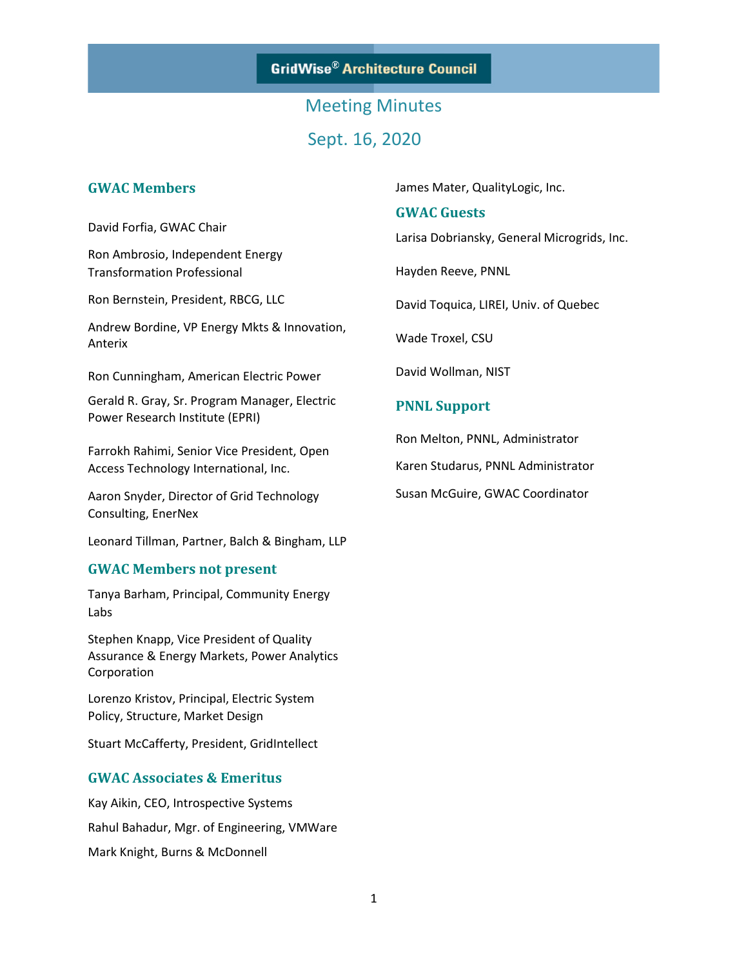**GridWise® Architecture Council** 

# Meeting Minutes Sept. 16, 2020

### **GWAC Members**

David Forfia, GWAC Chair

Ron Ambrosio, Independent Energy Transformation Professional

Ron Bernstein, President, RBCG, LLC

Andrew Bordine, VP Energy Mkts & Innovation, Anterix

Ron Cunningham, American Electric Power

Gerald R. Gray, Sr. Program Manager, Electric Power Research Institute (EPRI)

Farrokh Rahimi, Senior Vice President, Open Access Technology International, Inc.

Aaron Snyder, Director of Grid Technology Consulting, EnerNex

Leonard Tillman, Partner, Balch & Bingham, LLP

#### **GWAC Members not present**

Tanya Barham, Principal, Community Energy Labs

Stephen Knapp, Vice President of Quality Assurance & Energy Markets, Power Analytics Corporation

Lorenzo Kristov, Principal, Electric System Policy, Structure, Market Design

Stuart McCafferty, President, GridIntellect

### **GWAC Associates & Emeritus**

Kay Aikin, CEO, Introspective Systems Rahul Bahadur, Mgr. of Engineering, VMWare Mark Knight, Burns & McDonnell

James Mater, QualityLogic, Inc.

#### **GWAC Guests**

Larisa Dobriansky, General Microgrids, Inc.

Hayden Reeve, PNNL

David Toquica, LIREI, Univ. of Quebec

Wade Troxel, CSU

David Wollman, NIST

### **PNNL Support**

Ron Melton, PNNL, Administrator

Karen Studarus, PNNL Administrator

Susan McGuire, GWAC Coordinator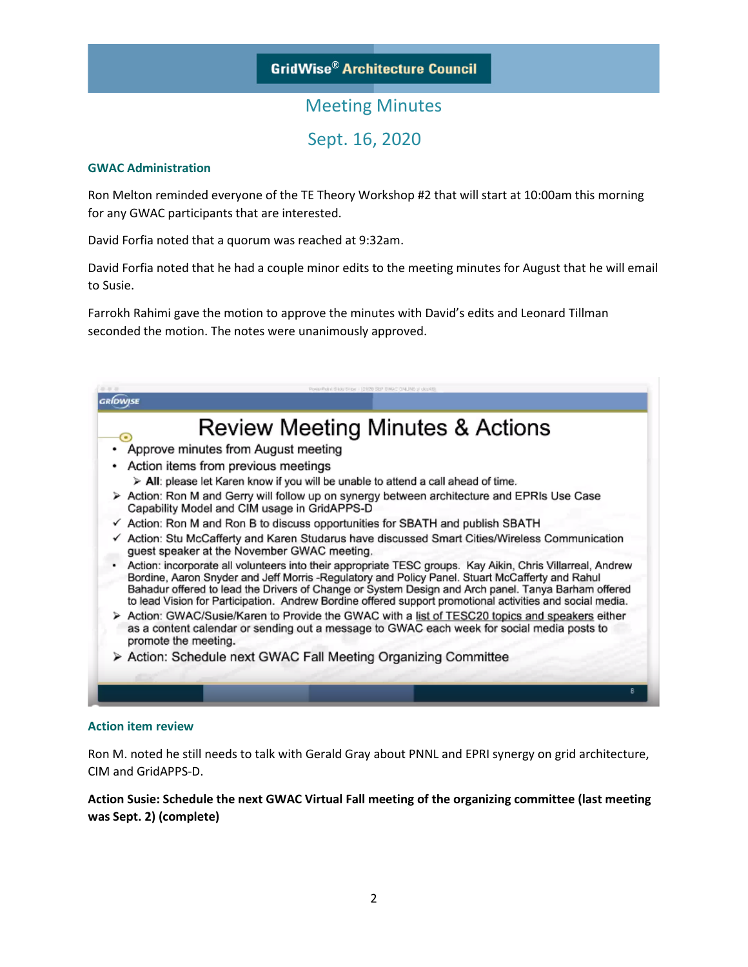# Meeting Minutes

Sept. 16, 2020

### **GWAC Administration**

Ron Melton reminded everyone of the TE Theory Workshop #2 that will start at 10:00am this morning for any GWAC participants that are interested.

David Forfia noted that a quorum was reached at 9:32am.

David Forfia noted that he had a couple minor edits to the meeting minutes for August that he will email to Susie.

Farrokh Rahimi gave the motion to approve the minutes with David's edits and Leonard Tillman seconded the motion. The notes were unanimously approved.

| Review Meeting Minutes & Actions<br>O                                                                                                                                                                                                                                                                                                                                                                                             |
|-----------------------------------------------------------------------------------------------------------------------------------------------------------------------------------------------------------------------------------------------------------------------------------------------------------------------------------------------------------------------------------------------------------------------------------|
| Approve minutes from August meeting                                                                                                                                                                                                                                                                                                                                                                                               |
| Action items from previous meetings                                                                                                                                                                                                                                                                                                                                                                                               |
| $\triangleright$ All: please let Karen know if you will be unable to attend a call ahead of time.                                                                                                                                                                                                                                                                                                                                 |
| > Action: Ron M and Gerry will follow up on synergy between architecture and EPRIs Use Case<br>Capability Model and CIM usage in GridAPPS-D                                                                                                                                                                                                                                                                                       |
| $\checkmark$ Action: Ron M and Ron B to discuss opportunities for SBATH and publish SBATH                                                                                                                                                                                                                                                                                                                                         |
| √ Action: Stu McCafferty and Karen Studarus have discussed Smart Cities/Wireless Communication<br>guest speaker at the November GWAC meeting.                                                                                                                                                                                                                                                                                     |
| Action: incorporate all volunteers into their appropriate TESC groups. Kay Aikin, Chris Villarreal, Andrew<br>Bordine, Aaron Snyder and Jeff Morris -Regulatory and Policy Panel. Stuart McCafferty and Rahul<br>Bahadur offered to lead the Drivers of Change or System Design and Arch panel. Tanya Barham offered<br>to lead Vision for Participation. Andrew Bordine offered support promotional activities and social media. |
| Action: GWAC/Susie/Karen to Provide the GWAC with a list of TESC20 topics and speakers either<br>as a content calendar or sending out a message to GWAC each week for social media posts to<br>promote the meeting.                                                                                                                                                                                                               |
| > Action: Schedule next GWAC Fall Meeting Organizing Committee                                                                                                                                                                                                                                                                                                                                                                    |

### **Action item review**

Ron M. noted he still needs to talk with Gerald Gray about PNNL and EPRI synergy on grid architecture, CIM and GridAPPS-D.

**Action Susie: Schedule the next GWAC Virtual Fall meeting of the organizing committee (last meeting was Sept. 2) (complete)**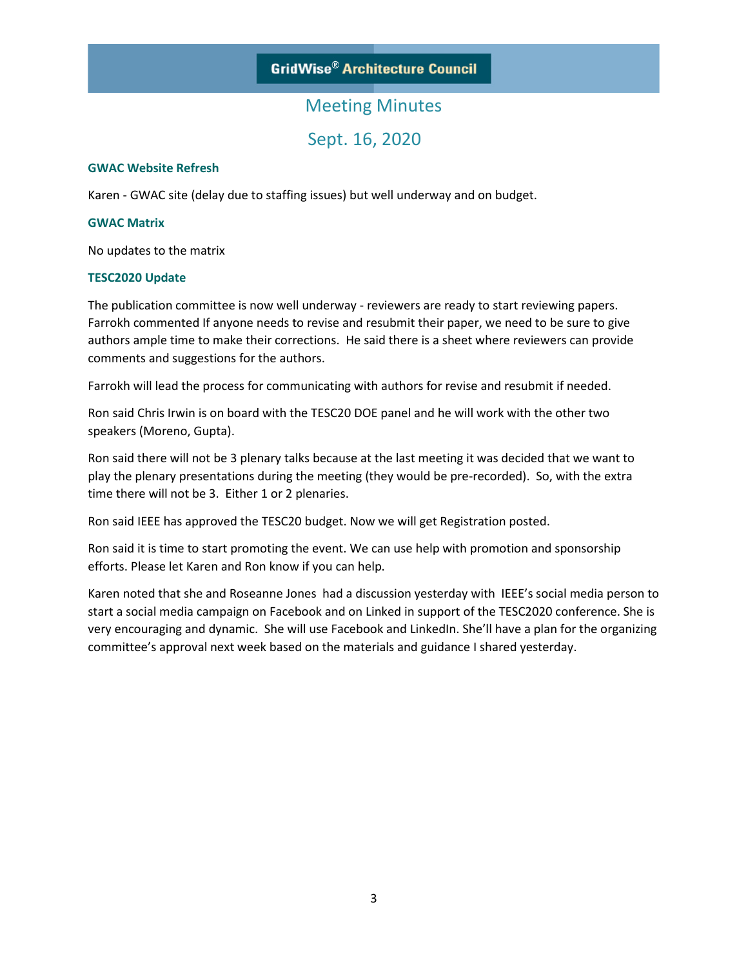### **GridWise® Architecture Council**

## Meeting Minutes

Sept. 16, 2020

#### **GWAC Website Refresh**

Karen - GWAC site (delay due to staffing issues) but well underway and on budget.

#### **GWAC Matrix**

No updates to the matrix

#### **TESC2020 Update**

The publication committee is now well underway - reviewers are ready to start reviewing papers. Farrokh commented If anyone needs to revise and resubmit their paper, we need to be sure to give authors ample time to make their corrections. He said there is a sheet where reviewers can provide comments and suggestions for the authors.

Farrokh will lead the process for communicating with authors for revise and resubmit if needed.

Ron said Chris Irwin is on board with the TESC20 DOE panel and he will work with the other two speakers (Moreno, Gupta).

Ron said there will not be 3 plenary talks because at the last meeting it was decided that we want to play the plenary presentations during the meeting (they would be pre-recorded). So, with the extra time there will not be 3. Either 1 or 2 plenaries.

Ron said IEEE has approved the TESC20 budget. Now we will get Registration posted.

Ron said it is time to start promoting the event. We can use help with promotion and sponsorship efforts. Please let Karen and Ron know if you can help.

Karen noted that she and Roseanne Jones had a discussion yesterday with IEEE's social media person to start a social media campaign on Facebook and on Linked in support of the TESC2020 conference. She is very encouraging and dynamic. She will use Facebook and LinkedIn. She'll have a plan for the organizing committee's approval next week based on the materials and guidance I shared yesterday.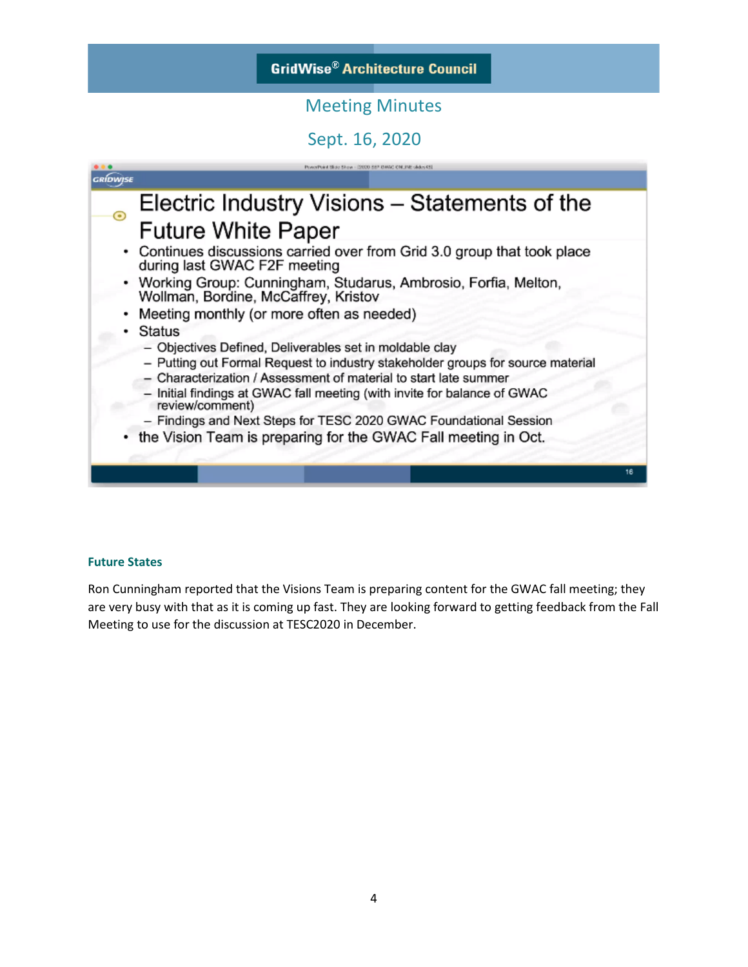# Meeting Minutes

# Sept. 16, 2020



#### **Future States**

Ron Cunningham reported that the Visions Team is preparing content for the GWAC fall meeting; they are very busy with that as it is coming up fast. They are looking forward to getting feedback from the Fall Meeting to use for the discussion at TESC2020 in December.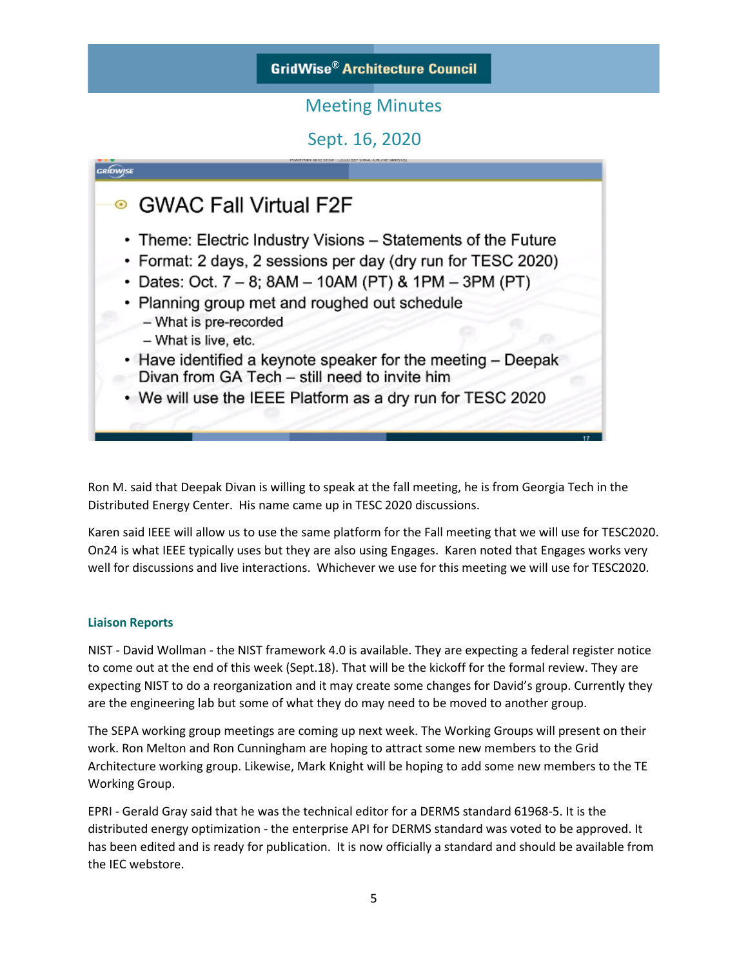# **GridWise® Architecture Council**

# Meeting Minutes

Sept. 16, 2020



Ron M. said that Deepak Divan is willing to speak at the fall meeting, he is from Georgia Tech in the Distributed Energy Center. His name came up in TESC 2020 discussions.

Karen said IEEE will allow us to use the same platform for the Fall meeting that we will use for TESC2020. On24 is what IEEE typically uses but they are also using Engages. Karen noted that Engages works very well for discussions and live interactions. Whichever we use for this meeting we will use for TESC2020.

### **Liaison Reports**

NIST - David Wollman - the NIST framework 4.0 is available. They are expecting a federal register notice to come out at the end of this week (Sept.18). That will be the kickoff for the formal review. They are expecting NIST to do a reorganization and it may create some changes for David's group. Currently they are the engineering lab but some of what they do may need to be moved to another group.

The SEPA working group meetings are coming up next week. The Working Groups will present on their work. Ron Melton and Ron Cunningham are hoping to attract some new members to the Grid Architecture working group. Likewise, Mark Knight will be hoping to add some new members to the TE Working Group.

EPRI - Gerald Gray said that he was the technical editor for a DERMS standard 61968-5. It is the distributed energy optimization - the enterprise API for DERMS standard was voted to be approved. It has been edited and is ready for publication. It is now officially a standard and should be available from the IEC webstore.